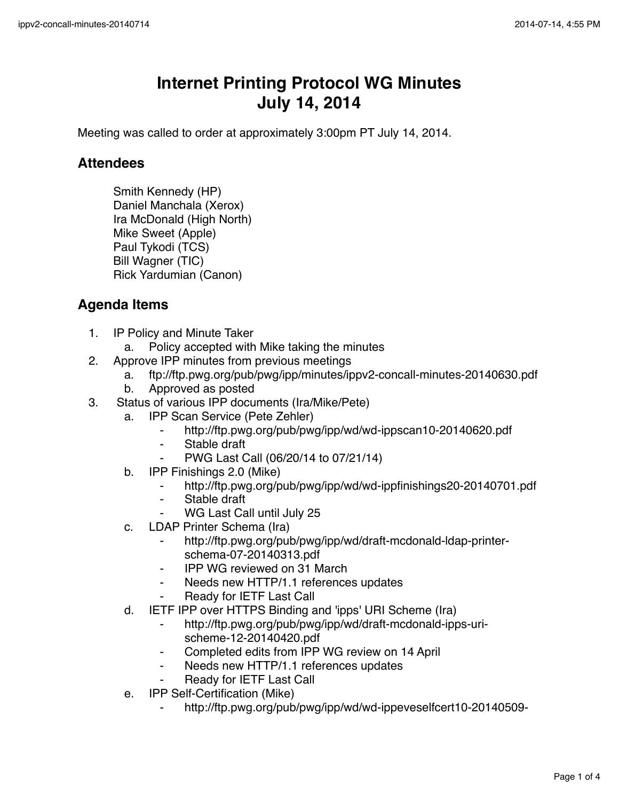## **Internet Printing Protocol WG Minutes July 14, 2014**

Meeting was called to order at approximately 3:00pm PT July 14, 2014.

## **Attendees**

Smith Kennedy (HP) Daniel Manchala (Xerox) Ira McDonald (High North) Mike Sweet (Apple) Paul Tykodi (TCS) Bill Wagner (TIC) Rick Yardumian (Canon)

## **Agenda Items**

- 1. IP Policy and Minute Taker
	- a. Policy accepted with Mike taking the minutes
- 2. Approve IPP minutes from previous meetings
	- a. ftp://ftp.pwg.org/pub/pwg/ipp/minutes/ippv2-concall-minutes-20140630.pdf
	- b. Approved as posted
- 3. Status of various IPP documents (Ira/Mike/Pete)
	- a. IPP Scan Service (Pete Zehler)
		- ⁃ http://ftp.pwg.org/pub/pwg/ipp/wd/wd-ippscan10-20140620.pdf
		- ⁃ Stable draft
		- ⁃ PWG Last Call (06/20/14 to 07/21/14)
	- b. IPP Finishings 2.0 (Mike)
		- ⁃ http://ftp.pwg.org/pub/pwg/ipp/wd/wd-ippfinishings20-20140701.pdf
		- Stable draft
		- WG Last Call until July 25
	- c. LDAP Printer Schema (Ira)
		- http://ftp.pwg.org/pub/pwg/ipp/wd/draft-mcdonald-ldap-printerschema-07-20140313.pdf
		- **IPP WG reviewed on 31 March**
		- ⁃ Needs new HTTP/1.1 references updates
		- Ready for IETF Last Call
	- d. IETF IPP over HTTPS Binding and 'ipps' URI Scheme (Ira)
		- http://ftp.pwg.org/pub/pwg/ipp/wd/draft-mcdonald-ipps-urischeme-12-20140420.pdf
		- ⁃ Completed edits from IPP WG review on 14 April
		- Needs new HTTP/1.1 references updates
		- **Ready for IETF Last Call**
	- e. IPP Self-Certification (Mike)
		- http://ftp.pwg.org/pub/pwg/ipp/wd/wd-ippeveselfcert10-20140509-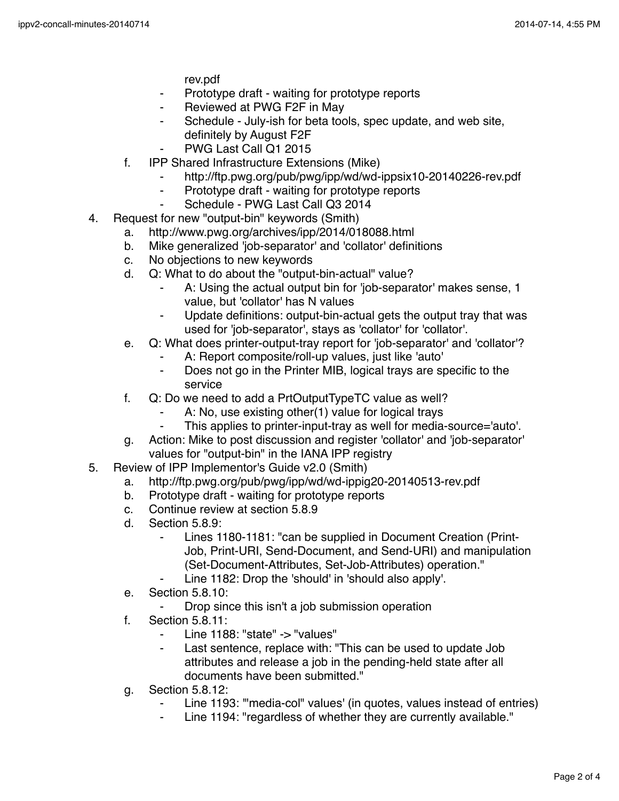rev.pdf

- Prototype draft waiting for prototype reports
- Reviewed at PWG F2F in May
- Schedule July-ish for beta tools, spec update, and web site, definitely by August F2F
- PWG Last Call Q1 2015
- f. IPP Shared Infrastructure Extensions (Mike)
	- http://ftp.pwg.org/pub/pwg/ipp/wd/wd-ippsix10-20140226-rev.pdf
	- Prototype draft waiting for prototype reports
	- ⁃ Schedule PWG Last Call Q3 2014
- 4. Request for new "output-bin" keywords (Smith)
	- a. http://www.pwg.org/archives/ipp/2014/018088.html
	- b. Mike generalized 'job-separator' and 'collator' definitions
	- c. No objections to new keywords
	- d. Q: What to do about the "output-bin-actual" value?
		- A: Using the actual output bin for 'job-separator' makes sense, 1 value, but 'collator' has N values
		- Update definitions: output-bin-actual gets the output tray that was used for 'job-separator', stays as 'collator' for 'collator'.
	- e. Q: What does printer-output-tray report for 'job-separator' and 'collator'?
		- A: Report composite/roll-up values, just like 'auto'
		- ⁃ Does not go in the Printer MIB, logical trays are specific to the service
	- f. Q: Do we need to add a PrtOutputTypeTC value as well?
		- A: No, use existing other(1) value for logical trays
		- This applies to printer-input-tray as well for media-source='auto'.
	- g. Action: Mike to post discussion and register 'collator' and 'job-separator' values for "output-bin" in the IANA IPP registry
- 5. Review of IPP Implementor's Guide v2.0 (Smith)
	- a. http://ftp.pwg.org/pub/pwg/ipp/wd/wd-ippig20-20140513-rev.pdf
	- b. Prototype draft waiting for prototype reports
	- c. Continue review at section 5.8.9
	- d. Section 5.8.9:
		- Lines 1180-1181: "can be supplied in Document Creation (Print-Job, Print-URI, Send-Document, and Send-URI) and manipulation (Set-Document-Attributes, Set-Job-Attributes) operation."
			- Line 1182: Drop the 'should' in 'should also apply'.
	- e. Section 5.8.10:
		- Drop since this isn't a job submission operation
	- f. Section 5.8.11:
		- Line 1188: "state" -> "values"
		- ⁃ Last sentence, replace with: "This can be used to update Job attributes and release a job in the pending-held state after all documents have been submitted."
	- g. Section 5.8.12:
		- Line 1193: "media-col" values' (in quotes, values instead of entries)
		- ⁃ Line 1194: "regardless of whether they are currently available."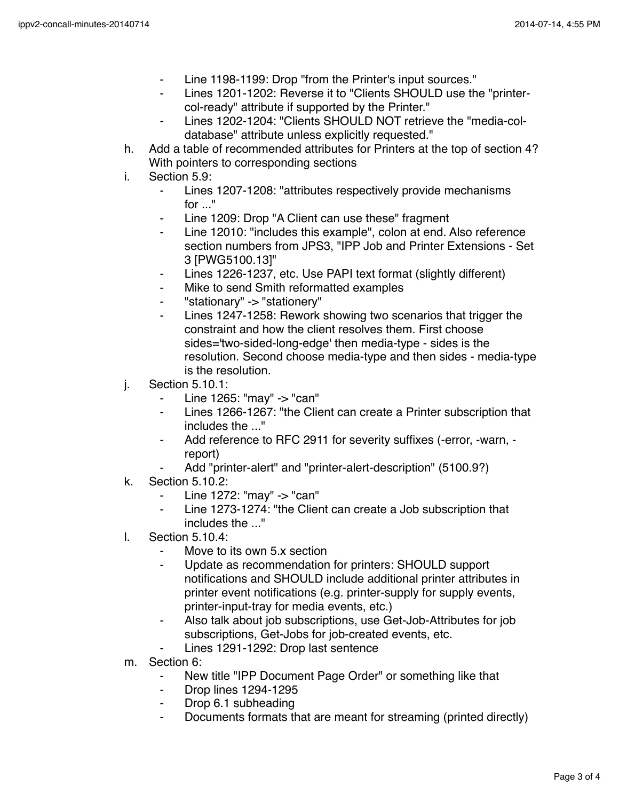- Line 1198-1199: Drop "from the Printer's input sources."
- Lines 1201-1202: Reverse it to "Clients SHOULD use the "printercol-ready" attribute if supported by the Printer."
- Lines 1202-1204: "Clients SHOULD NOT retrieve the "media-coldatabase" attribute unless explicitly requested."
- h. Add a table of recommended attributes for Printers at the top of section 4? With pointers to corresponding sections
- i. Section 5.9:
	- Lines 1207-1208: "attributes respectively provide mechanisms for ..."
	- Line 1209: Drop "A Client can use these" fragment
	- Line 12010: "includes this example", colon at end. Also reference section numbers from JPS3, "IPP Job and Printer Extensions - Set 3 [PWG5100.13]"
	- ⁃ Lines 1226-1237, etc. Use PAPI text format (slightly different)
	- Mike to send Smith reformatted examples
	- "stationary" -> "stationery"
	- Lines 1247-1258: Rework showing two scenarios that trigger the constraint and how the client resolves them. First choose sides='two-sided-long-edge' then media-type - sides is the resolution. Second choose media-type and then sides - media-type is the resolution.
- j. Section 5.10.1:
	- ⁃ Line 1265: "may" -> "can"
	- Lines 1266-1267: "the Client can create a Printer subscription that includes the ..."
	- Add reference to RFC 2911 for severity suffixes (-error, -warn, report)
	- Add "printer-alert" and "printer-alert-description" (5100.9?)
- k. Section 5.10.2:
	- Line 1272: "may" -> "can"
	- ⁃ Line 1273-1274: "the Client can create a Job subscription that includes the ..."
- l. Section 5.10.4:
	- ⁃ Move to its own 5.x section
	- Update as recommendation for printers: SHOULD support notifications and SHOULD include additional printer attributes in printer event notifications (e.g. printer-supply for supply events, printer-input-tray for media events, etc.)
	- ⁃ Also talk about job subscriptions, use Get-Job-Attributes for job subscriptions, Get-Jobs for job-created events, etc.
	- Lines 1291-1292: Drop last sentence
- m. Section 6:
	- ⁃ New title "IPP Document Page Order" or something like that
	- ⁃ Drop lines 1294-1295
	- ⁃ Drop 6.1 subheading
	- Documents formats that are meant for streaming (printed directly)